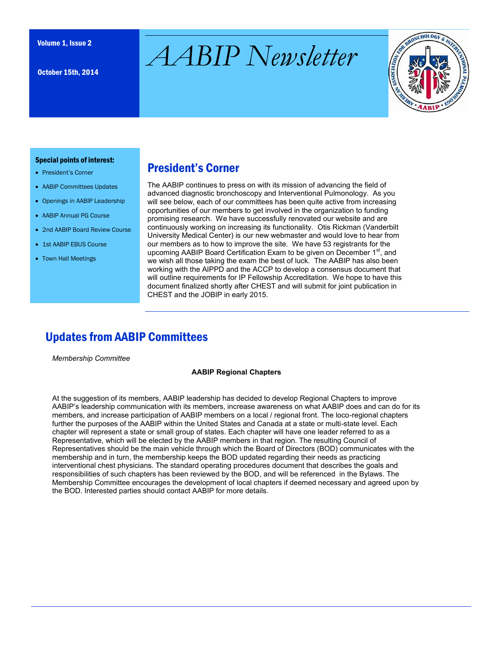October 15th, 2014

# $\mathcal{A}ABIP$   $Newsletter$



#### Special points of interest:

- President's Corner
- AABIP Committees Updates
- Openings in AABIP Leadership
- AABIP Annual PG Course
- 2nd AABIP Board Review Course
- 1st AABIP EBUS Course
- Town Hall Meetings

## President's Corner

The AABIP continues to press on with its mission of advancing the field of advanced diagnostic bronchoscopy and Interventional Pulmonology. As you will see below, each of our committees has been quite active from increasing opportunities of our members to get involved in the organization to funding promising research. We have successfully renovated our website and are continuously working on increasing its functionality. Otis Rickman (Vanderbilt University Medical Center) is our new webmaster and would love to hear from our members as to how to improve the site. We have 53 registrants for the upcoming AABIP Board Certification Exam to be given on December 1<sup>st</sup>, and we wish all those taking the exam the best of luck. The AABIP has also been working with the AIPPD and the ACCP to develop a consensus document that will outline requirements for IP Fellowship Accreditation. We hope to have this document finalized shortly after CHEST and will submit for joint publication in CHEST and the JOBIP in early 2015.

## Updates from AABIP Committees

*Membership Committee*

#### **AABIP Regional Chapters**

At the suggestion of its members, AABIP leadership has decided to develop Regional Chapters to improve AABIP's leadership communication with its members, increase awareness on what AABIP does and can do for its members, and increase participation of AABIP members on a local / regional front. The loco-regional chapters further the purposes of the AABIP within the United States and Canada at a state or multi-state level. Each chapter will represent a state or small group of states. Each chapter will have one leader referred to as a Representative, which will be elected by the AABIP members in that region. The resulting Council of Representatives should be the main vehicle through which the Board of Directors (BOD) communicates with the membership and in turn, the membership keeps the BOD updated regarding their needs as practicing interventional chest physicians. The standard operating procedures document that describes the goals and responsibilities of such chapters has been reviewed by the BOD, and will be referenced in the Bylaws. The Membership Committee encourages the development of local chapters if deemed necessary and agreed upon by the BOD. Interested parties should contact AABIP for more details.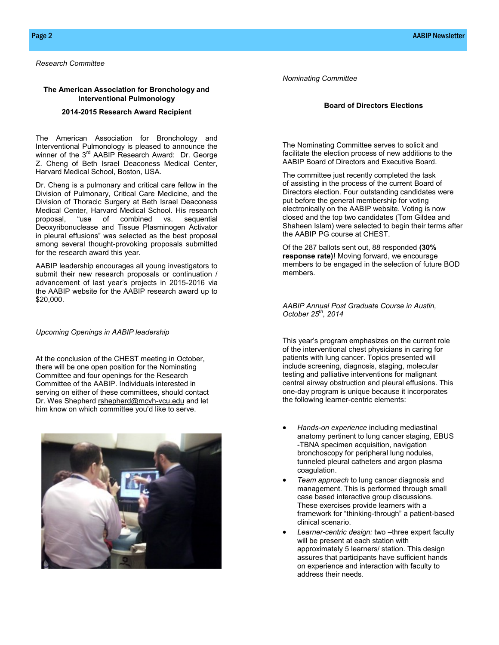*Research Committee*

#### **The American Association for Bronchology and Interventional Pulmonology**

#### **2014-2015 Research Award Recipient**

The American Association for Bronchology and Interventional Pulmonology is pleased to announce the winner of the 3<sup>rd</sup> AABIP Research Award: Dr. George Z. Cheng of Beth Israel Deaconess Medical Center, Harvard Medical School, Boston, USA.

Dr. Cheng is a pulmonary and critical care fellow in the Division of Pulmonary, Critical Care Medicine, and the Division of Thoracic Surgery at Beth Israel Deaconess Medical Center, Harvard Medical School. His research proposal, "use of combined vs. sequential Deoxyribonuclease and Tissue Plasminogen Activator in pleural effusions" was selected as the best proposal among several thought-provoking proposals submitted for the research award this year.

AABIP leadership encourages all young investigators to submit their new research proposals or continuation / advancement of last year's projects in 2015-2016 via the AABIP website for the AABIP research award up to \$20,000.

#### *Upcoming Openings in AABIP leadership*

At the conclusion of the CHEST meeting in October, there will be one open position for the Nominating Committee and four openings for the Research Committee of the AABIP. Individuals interested in serving on either of these committees, should contact Dr. Wes Shepherd rshepherd@mcvh-vcu.edu and let him know on which committee you'd like to serve.



*Nominating Committee*

#### **Board of Directors Elections**

The Nominating Committee serves to solicit and facilitate the election process of new additions to the AABIP Board of Directors and Executive Board.

The committee just recently completed the task of assisting in the process of the current Board of Directors election. Four outstanding candidates were put before the general membership for voting electronically on the AABIP website. Voting is now closed and the top two candidates (Tom Gildea and Shaheen Islam) were selected to begin their terms after the AABIP PG course at CHEST.

Of the 287 ballots sent out, 88 responded **(30% response rate)!** Moving forward, we encourage members to be engaged in the selection of future BOD members.

*AABIP Annual Post Graduate Course in Austin, October 25th, 2014*

This year's program emphasizes on the current role of the interventional chest physicians in caring for patients with lung cancer. Topics presented will include screening, diagnosis, staging, molecular testing and palliative interventions for malignant central airway obstruction and pleural effusions. This one-day program is unique because it incorporates the following learner-centric elements:

- *Hands-on experience* including mediastinal anatomy pertinent to lung cancer staging, EBUS -TBNA specimen acquisition, navigation bronchoscopy for peripheral lung nodules, tunneled pleural catheters and argon plasma coagulation.
- *Team approach* to lung cancer diagnosis and management. This is performed through small case based interactive group discussions. These exercises provide learners with a framework for "thinking-through" a patient-based clinical scenario.
- *Learner-centric design:* two –three expert faculty will be present at each station with approximately 5 learners/ station. This design assures that participants have sufficient hands on experience and interaction with faculty to address their needs.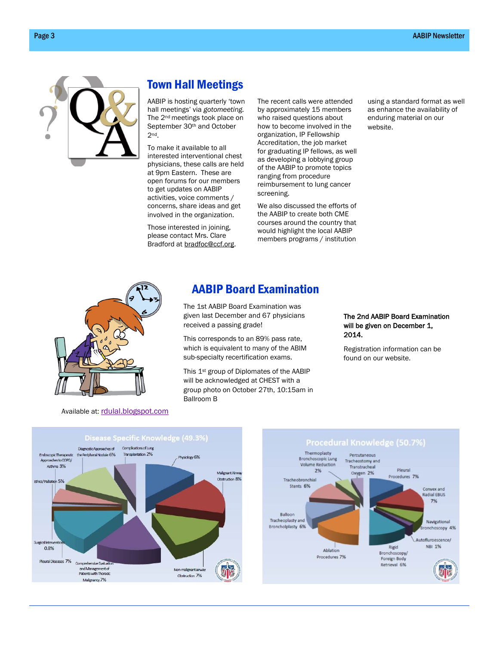

## Town Hall Meetings

AABIP is hosting quarterly 'town hall meetings' via *gotomeeting.*  The 2nd meetings took place on September 30th and October 2nd.

To make it available to all interested interventional chest physicians, these calls are held at 9pm Eastern. These are open forums for our members to get updates on AABIP activities, voice comments / concerns, share ideas and get involved in the organization.

Those interested in joining, please contact Mrs. Clare Bradford at [bradfoc@ccf.org.](mailto:bradfoc@ccf.org)  The recent calls were attended by approximately 15 members who raised questions about how to become involved in the organization, IP Fellowship Accreditation, the job market for graduating IP fellows, as well as developing a lobbying group of the AABIP to promote topics ranging from procedure reimbursement to lung cancer screening.

We also discussed the efforts of the AABIP to create both CME courses around the country that would highlight the local AABIP members programs / institution using a standard format as well as enhance the availability of enduring material on our website.



#### Available at: [rdulal.blogspot.com](http://r.search.yahoo.com/_ylt=AwrB8p.XCT1UCSwAzxWjzbkF;_ylu=X3oDMTBxNG1oMmE2BHNlYwNmcC1hdHRyaWIEc2xrA3J1cmwEaXQD/RV=2/RE=1413315096/RO=11/RU=http%3a%2f%2frdulal.blogspot.com%2f2012%2f03%2ftips-for-how-to-perform-better-in-exam.html/RK=0/RS=UPcY5.gpP_SPdItX_4)

## AABIP Board Examination

The 1st AABIP Board Examination was given last December and 67 physicians received a passing grade!

This corresponds to an 89% pass rate, which is equivalent to many of the ABIM sub-specialty recertification exams.

This 1st group of Diplomates of the AABIP will be acknowledged at CHEST with a group photo on October 27th, 10:15am in Ballroom B

#### The 2nd AABIP Board Examination will be given on December 1, 2014.

Registration information can be found on our website.



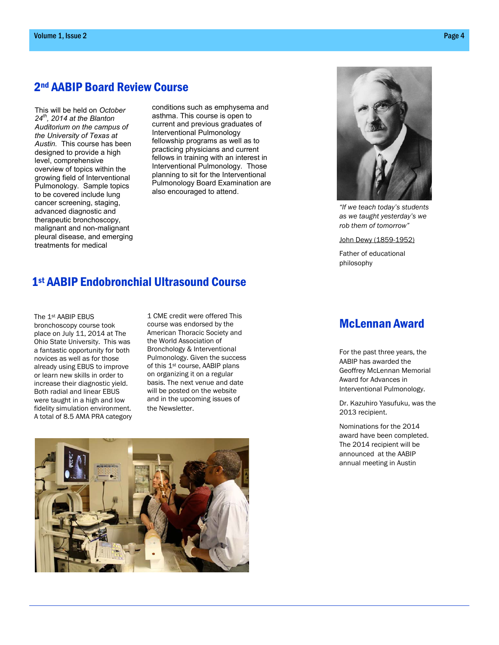### 2nd AABIP Board Review Course

This will be held on *October 24th, 2014 at the Blanton Auditorium on the campus of the University of Texas at Austin.* This course has been designed to provide a high level, comprehensive overview of topics within the growing field of Interventional Pulmonology. Sample topics to be covered include lung cancer screening, staging, advanced diagnostic and therapeutic bronchoscopy, malignant and non-malignant pleural disease, and emerging treatments for medical

conditions such as emphysema and asthma. This course is open to current and previous graduates of Interventional Pulmonology fellowship programs as well as to practicing physicians and current fellows in training with an interest in Interventional Pulmonology. Those planning to sit for the Interventional Pulmonology Board Examination are also encouraged to attend.

## 1st AABIP Endobronchial Ultrasound Course

The 1st AABIP EBUS bronchoscopy course took place on July 11, 2014 at The Ohio State University. This was a fantastic opportunity for both novices as well as for those already using EBUS to improve or learn new skills in order to increase their diagnostic yield. Both radial and linear EBUS were taught in a high and low fidelity simulation environment. A total of 8.5 AMA PRA category

1 CME credit were offered This course was endorsed by the American Thoracic Society and the World Association of Bronchology & Interventional Pulmonology. Given the success of this 1st course, AABIP plans on organizing it on a regular basis. The next venue and date will be posted on the website and in the upcoming issues of the Newsletter.





*"If we teach today's students as we taught yesterday's we rob them of tomorrow"*

John Dewy (1859-1952)

Father of educational philosophy

## McLennan Award

For the past three years, the AABIP has awarded the Geoffrey McLennan Memorial Award for Advances in Interventional Pulmonology.

Dr. Kazuhiro Yasufuku, was the 2013 recipient.

Nominations for the 2014 award have been completed. The 2014 recipient will be announced at the AABIP annual meeting in Austin